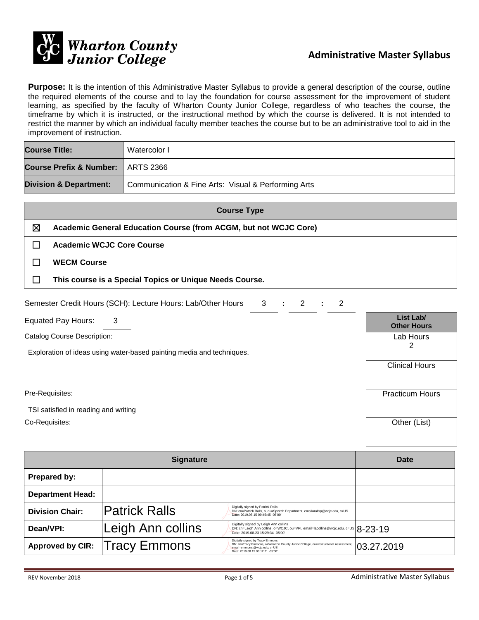

**Purpose:** It is the intention of this Administrative Master Syllabus to provide a general description of the course, outline the required elements of the course and to lay the foundation for course assessment for the improvement of student learning, as specified by the faculty of Wharton County Junior College, regardless of who teaches the course, the timeframe by which it is instructed, or the instructional method by which the course is delivered. It is not intended to restrict the manner by which an individual faculty member teaches the course but to be an administrative tool to aid in the improvement of instruction.

| <b>Course Title:</b>                | Watercolor I                                        |
|-------------------------------------|-----------------------------------------------------|
| Course Prefix & Number:   ARTS 2366 |                                                     |
| <b>Division &amp; Department:</b>   | Communication & Fine Arts: Visual & Performing Arts |

| <b>Course Type</b> |                                                                  |  |  |
|--------------------|------------------------------------------------------------------|--|--|
| ⊠                  | Academic General Education Course (from ACGM, but not WCJC Core) |  |  |
|                    | <b>Academic WCJC Core Course</b>                                 |  |  |
|                    | <b>WECM Course</b>                                               |  |  |
|                    | This course is a Special Topics or Unique Needs Course.          |  |  |

| Semester Credit Hours (SCH): Lecture Hours: Lab/Other Hours                                          | 3 | ÷ | 2 | $\overline{2}$ |                                 |
|------------------------------------------------------------------------------------------------------|---|---|---|----------------|---------------------------------|
| <b>Equated Pay Hours:</b><br>3                                                                       |   |   |   |                | List Lab/<br><b>Other Hours</b> |
| Catalog Course Description:<br>Exploration of ideas using water-based painting media and techniques. |   |   |   |                | Lab Hours<br>2                  |
|                                                                                                      |   |   |   |                | <b>Clinical Hours</b>           |
| Pre-Requisites:                                                                                      |   |   |   |                | <b>Practicum Hours</b>          |
| TSI satisfied in reading and writing                                                                 |   |   |   |                |                                 |
| Co-Requisites:                                                                                       |   |   |   |                | Other (List)                    |

|                         | Date                 |                                                                                                                                                                                             |            |
|-------------------------|----------------------|---------------------------------------------------------------------------------------------------------------------------------------------------------------------------------------------|------------|
| Prepared by:            |                      |                                                                                                                                                                                             |            |
| <b>Department Head:</b> |                      |                                                                                                                                                                                             |            |
| <b>Division Chair:</b>  | <b>Patrick Ralls</b> | Digitally signed by Patrick Ralls<br>DN: cn=Patrick Ralls, o, ou=Speech Department, email=rallsp@wcjc.edu, c=US<br>Date: 2019.08.15 09:45:45 -05'00'                                        |            |
| Dean/VPI:               | Leigh Ann collins    | Digitally signed by Leigh Ann collins<br>DN: cn=Leigh Ann collins, o=WCJC, ou=VPI, email=lacollins@wcjc.edu, c=US $8-23-19$<br>Date: 2019.08.23 15:29:34 -05'00'                            |            |
| <b>Approved by CIR:</b> | <b>Tracy Emmons</b>  | Digitally signed by Tracy Emmons<br>DN: cn=Tracy Emmons, o=Wharton County Junior College, ou=Instructional Assessment,<br>email=emmonst@wcjc.edu, c=US<br>Date: 2019.08.15 08:12:21 -05'00' | 03.27.2019 |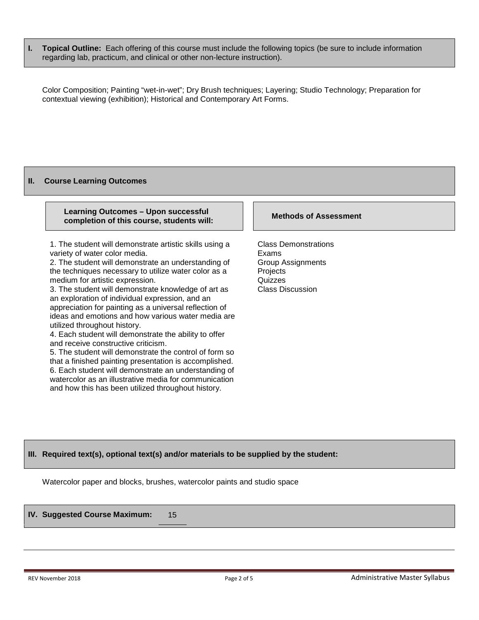**I. Topical Outline:** Each offering of this course must include the following topics (be sure to include information regarding lab, practicum, and clinical or other non-lecture instruction).

Color Composition; Painting "wet-in-wet"; Dry Brush techniques; Layering; Studio Technology; Preparation for contextual viewing (exhibition); Historical and Contemporary Art Forms.

#### **II. Course Learning Outcomes**

#### **Learning Outcomes – Upon successful completion of this course, students will: Methods of Assessment**

1. The student will demonstrate artistic skills using a variety of water color media.

2. The student will demonstrate an understanding of the techniques necessary to utilize water color as a medium for artistic expression.

3. The student will demonstrate knowledge of art as an exploration of individual expression, and an appreciation for painting as a universal reflection of ideas and emotions and how various water media are utilized throughout history.

4. Each student will demonstrate the ability to offer and receive constructive criticism.

5. The student will demonstrate the control of form so that a finished painting presentation is accomplished. 6. Each student will demonstrate an understanding of watercolor as an illustrative media for communication and how this has been utilized throughout history.

Class Demonstrations Exams Group Assignments Projects **Quizzes** Class Discussion

# **III. Required text(s), optional text(s) and/or materials to be supplied by the student:**

Watercolor paper and blocks, brushes, watercolor paints and studio space

**IV. Suggested Course Maximum:** 15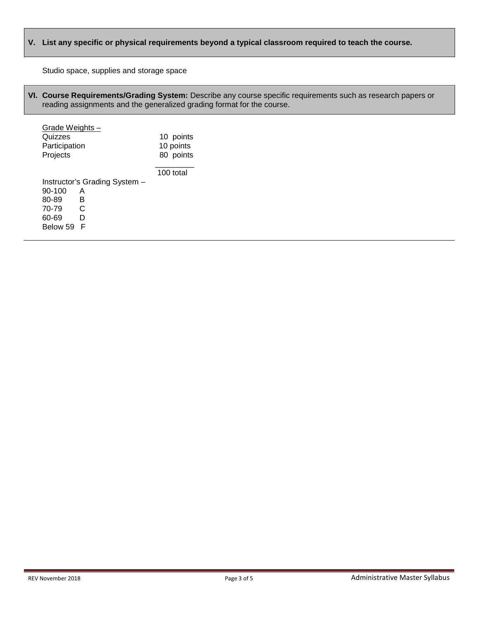# **V. List any specific or physical requirements beyond a typical classroom required to teach the course.**

Studio space, supplies and storage space

**VI. Course Requirements/Grading System:** Describe any course specific requirements such as research papers or reading assignments and the generalized grading format for the course.

| Grade Weights - |                               |           |
|-----------------|-------------------------------|-----------|
| Quizzes         |                               | 10 points |
| Participation   |                               | 10 points |
| Projects        |                               | 80 points |
|                 |                               | 100 total |
|                 | Instructor's Grading System - |           |
| 90-100          | A                             |           |
| 80-89           | в                             |           |
| 70-79           | C                             |           |
| 60-69           | D                             |           |
| Below 59        | F                             |           |
|                 |                               |           |